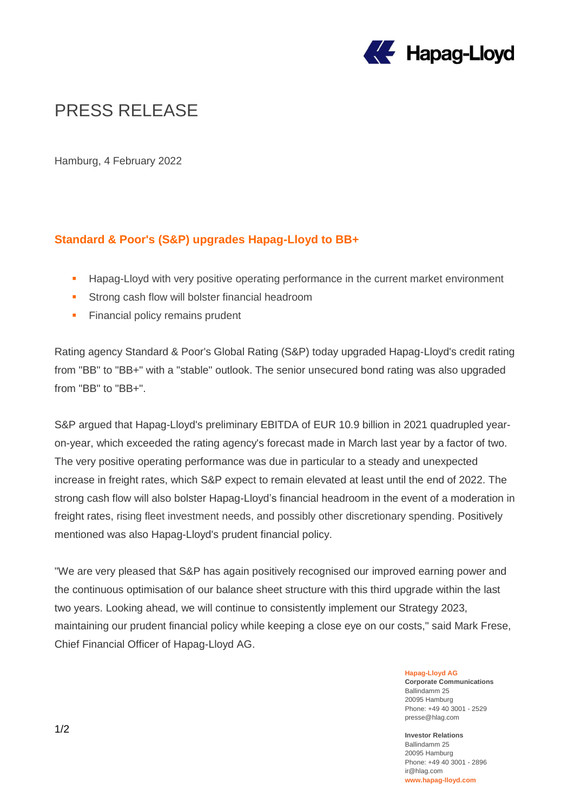

# PRESS RELEASE

Hamburg, 4 February 2022

## **Standard & Poor's (S&P) upgrades Hapag-Lloyd to BB+**

- **Hapag-Lloyd with very positive operating performance in the current market environment**
- **Strong cash flow will bolster financial headroom**
- **Financial policy remains prudent**

Rating agency Standard & Poor's Global Rating (S&P) today upgraded Hapag-Lloyd's credit rating from "BB" to "BB+" with a "stable" outlook. The senior unsecured bond rating was also upgraded from "BB" to "BB+".

S&P argued that Hapag-Lloyd's preliminary EBITDA of EUR 10.9 billion in 2021 quadrupled yearon-year, which exceeded the rating agency's forecast made in March last year by a factor of two. The very positive operating performance was due in particular to a steady and unexpected increase in freight rates, which S&P expect to remain elevated at least until the end of 2022. The strong cash flow will also bolster Hapag-Lloyd's financial headroom in the event of a moderation in freight rates, rising fleet investment needs, and possibly other discretionary spending. Positively mentioned was also Hapag-Lloyd's prudent financial policy.

"We are very pleased that S&P has again positively recognised our improved earning power and the continuous optimisation of our balance sheet structure with this third upgrade within the last two years. Looking ahead, we will continue to consistently implement our Strategy 2023, maintaining our prudent financial policy while keeping a close eye on our costs," said Mark Frese, Chief Financial Officer of Hapag-Lloyd AG.

#### **Hapag-Lloyd AG**

**Corporate Communications** Ballindamm 25 20095 Hamburg Phone: +49 40 3001 - 2529 presse@hlag.com

### **Investor Relations**

Ballindamm 25 20095 Hamburg Phone: +49 40 3001 - 2896 ir@hlag.com **www.hapag-lloyd.com**